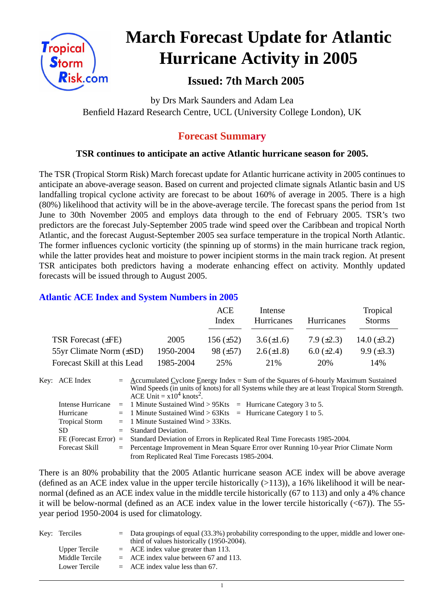

# **March Forecast Update for Atlantic Hurricane Activity in 2005**

# **Issued: 7th March 2005**

by Drs Mark Saunders and Adam Lea Benfield Hazard Research Centre, UCL (University College London), UK

## **Forecast Summary**

### **TSR continues to anticipate an active Atlantic hurricane season for 2005.**

The TSR (Tropical Storm Risk) March forecast update for Atlantic hurricane activity in 2005 continues to anticipate an above-average season. Based on current and projected climate signals Atlantic basin and US landfalling tropical cyclone activity are forecast to be about 160% of average in 2005. There is a high (80%) likelihood that activity will be in the above-average tercile. The forecast spans the period from 1st June to 30th November 2005 and employs data through to the end of February 2005. TSR's two predictors are the forecast July-September 2005 trade wind speed over the Caribbean and tropical North Atlantic, and the forecast August-September 2005 sea surface temperature in the tropical North Atlantic. The former influences cyclonic vorticity (the spinning up of storms) in the main hurricane track region, while the latter provides heat and moisture to power incipient storms in the main track region. At present TSR anticipates both predictors having a moderate enhancing effect on activity. Monthly updated forecasts will be issued through to August 2005.

#### **Atlantic ACE Index and System Numbers in 2005**

|                              |           | ACE<br>Index   | Intense<br><b>Hurricanes</b> | Hurricanes        | Tropical<br><b>Storms</b> |
|------------------------------|-----------|----------------|------------------------------|-------------------|---------------------------|
| TSR Forecast $(\pm FE)$      | 2005      | 156 $(\pm 52)$ | $3.6(\pm 1.6)$               | $7.9 \ (\pm 2.3)$ | 14.0 $(\pm 3.2)$          |
| 55yr Climate Norm $(\pm SD)$ | 1950-2004 | $98 (\pm 57)$  | $2.6(\pm 1.8)$               | $6.0 \ (\pm 2.4)$ | $9.9 \ (\pm 3.3)$         |
| Forecast Skill at this Lead  | 1985-2004 | 25%            | 2.1%                         | 20%               | 14%                       |

Key: ACE Index =  $\triangle$  ccumulated Cyclone Energy Index = Sum of the Squares of 6-hourly Maximum Sustained Wind Speeds (in units of knots) for all Systems while they are at least Tropical Storm Strength. ACE Unit  $= x10^4$  knots<sup>2</sup>. Intense Hurricane  $= 1$  Minute Sustained Wind > 95Kts  $=$  Hurricane Category 3 to 5. Hurricane  $= 1$  Minute Sustained Wind  $> 63K$ ts = Hurricane Category 1 to 5.

| <b>Tropical Storm</b> | $=$ 1 Minute Sustained Wind $>$ 33Kts.                                                          |
|-----------------------|-------------------------------------------------------------------------------------------------|
| SD                    | $=$ Standard Deviation.                                                                         |
|                       | FE (Forecast Error) = Standard Deviation of Errors in Replicated Real Time Forecasts 1985-2004. |
| Forecast Skill        | $=$ Percentage Improvement in Mean Square Error over Running 10-year Prior Climate Norm         |
|                       | from Replicated Real Time Forecasts 1985-2004.                                                  |

There is an 80% probability that the 2005 Atlantic hurricane season ACE index will be above average (defined as an ACE index value in the upper tercile historically  $(>113)$ ), a 16% likelihood it will be nearnormal (defined as an ACE index value in the middle tercile historically (67 to 113) and only a 4% chance it will be below-normal (defined as an ACE index value in the lower tercile historically  $( $67$ )$ ). The 55year period 1950-2004 is used for climatology.

| Key: Terciles  | $\epsilon$ Data groupings of equal (33.3%) probability corresponding to the upper, middle and lower one- |
|----------------|----------------------------------------------------------------------------------------------------------|
|                | third of values historically (1950-2004).                                                                |
| Upper Tercile  | $=$ ACE index value greater than 113.                                                                    |
| Middle Tercile | $=$ ACE index value between 67 and 113.                                                                  |
| Lower Tercile  | $=$ ACE index value less than 67.                                                                        |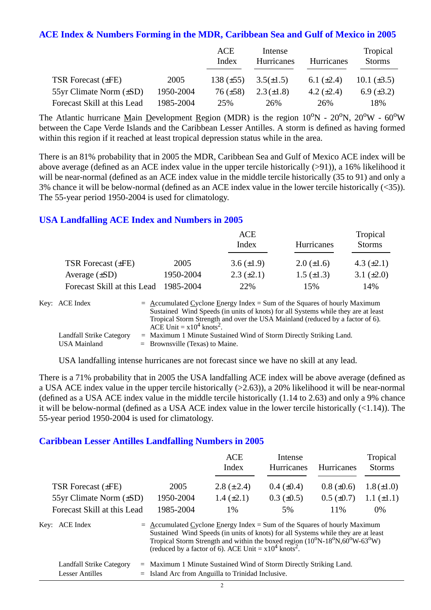#### **ACE Index & Numbers Forming in the MDR, Caribbean Sea and Gulf of Mexico in 2005**

|                              |           | ACE<br>Index    | Intense<br>Hurricanes | Hurricanes      | Tropical<br><b>Storms</b> |
|------------------------------|-----------|-----------------|-----------------------|-----------------|---------------------------|
| TSR Forecast $(\pm FE)$      | 2005      | 138 $(\pm 55)$  | $3.5(\pm 1.5)$        | 6.1 $(\pm 2.4)$ | 10.1 $(\pm 3.5)$          |
| 55yr Climate Norm $(\pm SD)$ | 1950-2004 | $76 \ (\pm 58)$ | $2.3(\pm 1.8)$        | 4.2 $(\pm 2.4)$ | $6.9 \ (\pm 3.2)$         |
| Forecast Skill at this Lead  | 1985-2004 | 25%             | 26%                   | 26%             | 18%                       |

The Atlantic hurricane Main Development Region (MDR) is the region  $10^{\circ}N - 20^{\circ}N$ ,  $20^{\circ}W - 60^{\circ}W$ between the Cape Verde Islands and the Caribbean Lesser Antilles. A storm is defined as having formed within this region if it reached at least tropical depression status while in the area.

There is an 81% probability that in 2005 the MDR, Caribbean Sea and Gulf of Mexico ACE index will be above average (defined as an ACE index value in the upper tercile historically (>91)), a 16% likelihood it will be near-normal (defined as an ACE index value in the middle tercile historically (35 to 91) and only a 3% chance it will be below-normal (defined as an ACE index value in the lower tercile historically (<35)). The 55-year period 1950-2004 is used for climatology.

#### **USA Landfalling ACE Index and Numbers in 2005**

|                             |           | ACE<br>Index      | Hurricanes        | Tropical<br><b>Storms</b> |
|-----------------------------|-----------|-------------------|-------------------|---------------------------|
| TSR Forecast $(\pm FE)$     | 2005      | 3.6 $(\pm 1.9)$   | $2.0 (\pm 1.6)$   | 4.3 $(\pm 2.1)$           |
| Average $(\pm SD)$          | 1950-2004 | $2.3 \ (\pm 2.1)$ | $1.5 \ (\pm 1.3)$ | 3.1 $(\pm 2.0)$           |
| Forecast Skill at this Lead | 1985-2004 | 22%               | 15%               | 14%                       |

| Key: ACE Index           | $=$ Accumulated Cyclone Energy Index $=$ Sum of the Squares of hourly Maximum     |
|--------------------------|-----------------------------------------------------------------------------------|
|                          | Sustained Wind Speeds (in units of knots) for all Systems while they are at least |
|                          | Tropical Storm Strength and over the USA Mainland (reduced by a factor of 6).     |
|                          | ACE Unit = $x10^4$ knots <sup>2</sup> .                                           |
| Landfall Strike Category | $=$ Maximum 1 Minute Sustained Wind of Storm Directly Striking Land.              |
| USA Mainland             | $=$ Brownsville (Texas) to Maine.                                                 |

USA landfalling intense hurricanes are not forecast since we have no skill at any lead.

There is a 71% probability that in 2005 the USA landfalling ACE index will be above average (defined as a USA ACE index value in the upper tercile historically (>2.63)), a 20% likelihood it will be near-normal (defined as a USA ACE index value in the middle tercile historically (1.14 to 2.63) and only a 9% chance it will be below-normal (defined as a USA ACE index value in the lower tercile historically (<1.14)). The 55-year period 1950-2004 is used for climatology.

#### **Caribbean Lesser Antilles Landfalling Numbers in 2005**

|                                |                                                                             | <b>ACE</b><br>Index                                                                                                                                                                                                                            | Intense<br><b>Hurricanes</b> | <b>Hurricanes</b> | Tropical<br><b>Storms</b> |
|--------------------------------|-----------------------------------------------------------------------------|------------------------------------------------------------------------------------------------------------------------------------------------------------------------------------------------------------------------------------------------|------------------------------|-------------------|---------------------------|
| TSR Forecast $(\pm FE)$        | 2005                                                                        | 2.8 $(\pm 2.4)$                                                                                                                                                                                                                                | $0.4 \ (\pm 0.4)$            | $0.8 (\pm 0.6)$   | $1.8 (\pm 1.0)$           |
| $55yr$ Climate Norm $(\pm SD)$ | 1950-2004                                                                   | $1.4 \ (\pm 2.1)$                                                                                                                                                                                                                              | $0.3 \ (\pm 0.5)$            | $0.5 \ (\pm 0.7)$ | $1.1 (\pm 1.1)$           |
| Forecast Skill at this Lead    | 1985-2004                                                                   | 1%                                                                                                                                                                                                                                             | 5%                           | 11%               | $0\%$                     |
| Kev:<br>ACE Index              | $=$ Accumulated Cyclone Energy Index = Sum of the Squares of hourly Maximum | Sustained Wind Speeds (in units of knots) for all Systems while they are at least<br>Tropical Storm Strength and within the boxed region $(10^0$ N-18°N, $60^0$ W-63°W)<br>(reduced by a factor of 6). ACE Unit = $x10^4$ knots <sup>2</sup> . |                              |                   |                           |

| <b>Landfall Strike Category</b> | = Maximum 1 Minute Sustained Wind of Storm Directly Striking Land. |
|---------------------------------|--------------------------------------------------------------------|
| Lesser Antilles                 | $=$ Island Arc from Anguilla to Trinidad Inclusive.                |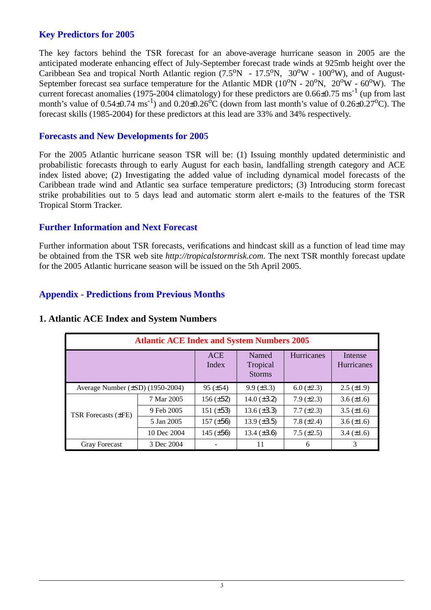#### **Key Predictors for 2005**

The key factors behind the TSR forecast for an above-average hurricane season in 2005 are the anticipated moderate enhancing effect of July-September forecast trade winds at 925mb height over the Caribbean Sea and tropical North Atlantic region  $(7.5^{\circ}N - 17.5^{\circ}N, 30^{\circ}W - 100^{\circ}W)$ , and of August-September forecast sea surface temperature for the Atlantic MDR  $(10^{\circ}N - 20^{\circ}N, 20^{\circ}W - 60^{\circ}W)$ . The current forecast anomalies (1975-2004 climatology) for these predictors are  $0.66\pm0.75$  ms<sup>-1</sup> (up from last month's value of  $0.54\pm0.74$  ms<sup>-1</sup>) and  $0.20\pm0.26$ °C (down from last month's value of  $0.26\pm0.27$ °C). The forecast skills (1985-2004) for these predictors at this lead are 33% and 34% respectively.

#### **Forecasts and New Developments for 2005**

For the 2005 Atlantic hurricane season TSR will be: (1) Issuing monthly updated deterministic and probabilistic forecasts through to early August for each basin, landfalling strength category and ACE index listed above; (2) Investigating the added value of including dynamical model forecasts of the Caribbean trade wind and Atlantic sea surface temperature predictors; (3) Introducing storm forecast strike probabilities out to 5 days lead and automatic storm alert e-mails to the features of the TSR Tropical Storm Tracker.

#### **Further Information and Next Forecast**

Further information about TSR forecasts, verifications and hindcast skill as a function of lead time may be obtained from the TSR web site *http://tropicalstormrisk.com*. The next TSR monthly forecast update for the 2005 Atlantic hurricane season will be issued on the 5th April 2005.

#### **Appendix - Predictions from Previous Months**

|                                       | <b>Atlantic ACE Index and System Numbers 2005</b> |                     |                                    |                   |                              |  |  |  |
|---------------------------------------|---------------------------------------------------|---------------------|------------------------------------|-------------------|------------------------------|--|--|--|
|                                       |                                                   | <b>ACE</b><br>Index | Named<br>Tropical<br><b>Storms</b> | <b>Hurricanes</b> | Intense<br><b>Hurricanes</b> |  |  |  |
| Average Number $(\pm SD)$ (1950-2004) |                                                   | $95 (\pm 54)$       | $9.9 \ (\pm 3.3)$                  | $6.0 \ (\pm 2.3)$ | $2.5 \ (\pm 1.9)$            |  |  |  |
|                                       | 7 Mar 2005                                        | $156 (\pm 52)$      | 14.0 $(\pm 3.2)$                   | $7.9 \ (\pm 2.3)$ | $3.6 (\pm 1.6)$              |  |  |  |
| <b>TSR Forecasts (±FE)</b>            | 9 Feb 2005                                        | 151 $(\pm 53)$      | $13.6 (\pm 3.3)$                   | $7.7 (\pm 2.3)$   | $3.5 \ (\pm 1.6)$            |  |  |  |
|                                       | 5 Jan 2005                                        | $157 (\pm 56)$      | $13.9 \ (\pm 3.5)$                 | 7.8 $(\pm 2.4)$   | $3.6 (\pm 1.6)$              |  |  |  |
|                                       | 10 Dec 2004                                       | 145 $(\pm 56)$      | 13.4 $(\pm 3.6)$                   | $7.5 (\pm 2.5)$   | $3.4 (\pm 1.6)$              |  |  |  |
| <b>Gray Forecast</b>                  | 3 Dec 2004                                        |                     | 11                                 | 6                 | 3                            |  |  |  |

#### **1. Atlantic ACE Index and System Numbers**